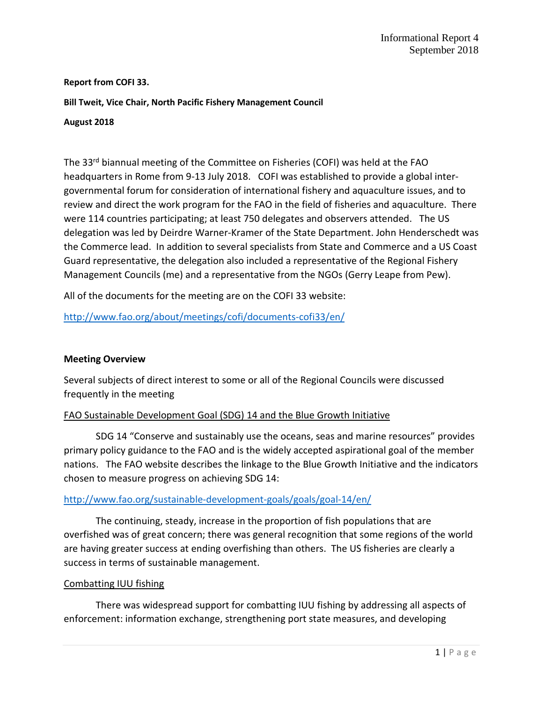## **Report from COFI 33.**

**Bill Tweit, Vice Chair, North Pacific Fishery Management Council**

#### **August 2018**

The 33<sup>rd</sup> biannual meeting of the Committee on Fisheries (COFI) was held at the FAO headquarters in Rome from 9-13 July 2018. COFI was established to provide a global intergovernmental forum for consideration of international fishery and aquaculture issues, and to review and direct the work program for the FAO in the field of fisheries and aquaculture. There were 114 countries participating; at least 750 delegates and observers attended. The US delegation was led by Deirdre Warner-Kramer of the State Department. John Henderschedt was the Commerce lead. In addition to several specialists from State and Commerce and a US Coast Guard representative, the delegation also included a representative of the Regional Fishery Management Councils (me) and a representative from the NGOs (Gerry Leape from Pew).

All of the documents for the meeting are on the COFI 33 website:

<http://www.fao.org/about/meetings/cofi/documents-cofi33/en/>

## **Meeting Overview**

Several subjects of direct interest to some or all of the Regional Councils were discussed frequently in the meeting

## FAO Sustainable Development Goal (SDG) 14 and the Blue Growth Initiative

SDG 14 "Conserve and sustainably use the oceans, seas and marine resources" provides primary policy guidance to the FAO and is the widely accepted aspirational goal of the member nations. The FAO website describes the linkage to the Blue Growth Initiative and the indicators chosen to measure progress on achieving SDG 14:

## <http://www.fao.org/sustainable-development-goals/goals/goal-14/en/>

The continuing, steady, increase in the proportion of fish populations that are overfished was of great concern; there was general recognition that some regions of the world are having greater success at ending overfishing than others. The US fisheries are clearly a success in terms of sustainable management.

### Combatting IUU fishing

There was widespread support for combatting IUU fishing by addressing all aspects of enforcement: information exchange, strengthening port state measures, and developing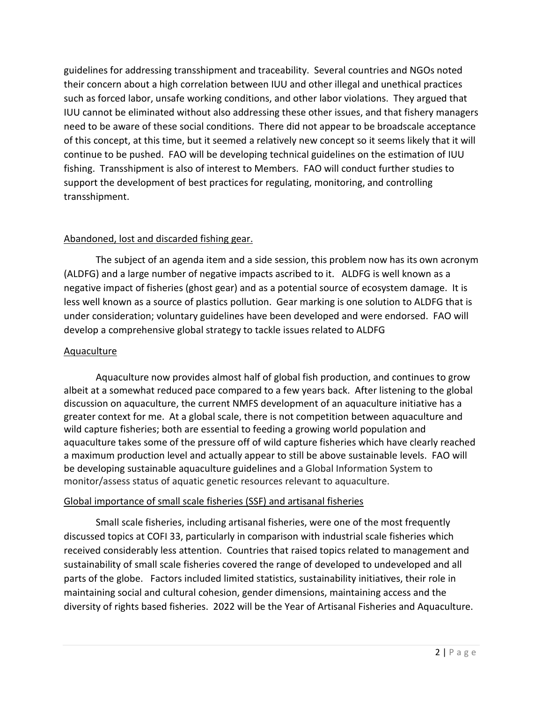guidelines for addressing transshipment and traceability. Several countries and NGOs noted their concern about a high correlation between IUU and other illegal and unethical practices such as forced labor, unsafe working conditions, and other labor violations. They argued that IUU cannot be eliminated without also addressing these other issues, and that fishery managers need to be aware of these social conditions. There did not appear to be broadscale acceptance of this concept, at this time, but it seemed a relatively new concept so it seems likely that it will continue to be pushed. FAO will be developing technical guidelines on the estimation of IUU fishing. Transshipment is also of interest to Members. FAO will conduct further studies to support the development of best practices for regulating, monitoring, and controlling transshipment.

# Abandoned, lost and discarded fishing gear.

The subject of an agenda item and a side session, this problem now has its own acronym (ALDFG) and a large number of negative impacts ascribed to it. ALDFG is well known as a negative impact of fisheries (ghost gear) and as a potential source of ecosystem damage. It is less well known as a source of plastics pollution. Gear marking is one solution to ALDFG that is under consideration; voluntary guidelines have been developed and were endorsed. FAO will develop a comprehensive global strategy to tackle issues related to ALDFG

## **Aquaculture**

Aquaculture now provides almost half of global fish production, and continues to grow albeit at a somewhat reduced pace compared to a few years back. After listening to the global discussion on aquaculture, the current NMFS development of an aquaculture initiative has a greater context for me. At a global scale, there is not competition between aquaculture and wild capture fisheries; both are essential to feeding a growing world population and aquaculture takes some of the pressure off of wild capture fisheries which have clearly reached a maximum production level and actually appear to still be above sustainable levels. FAO will be developing sustainable aquaculture guidelines and a Global Information System to monitor/assess status of aquatic genetic resources relevant to aquaculture.

## Global importance of small scale fisheries (SSF) and artisanal fisheries

Small scale fisheries, including artisanal fisheries, were one of the most frequently discussed topics at COFI 33, particularly in comparison with industrial scale fisheries which received considerably less attention. Countries that raised topics related to management and sustainability of small scale fisheries covered the range of developed to undeveloped and all parts of the globe. Factors included limited statistics, sustainability initiatives, their role in maintaining social and cultural cohesion, gender dimensions, maintaining access and the diversity of rights based fisheries. 2022 will be the Year of Artisanal Fisheries and Aquaculture.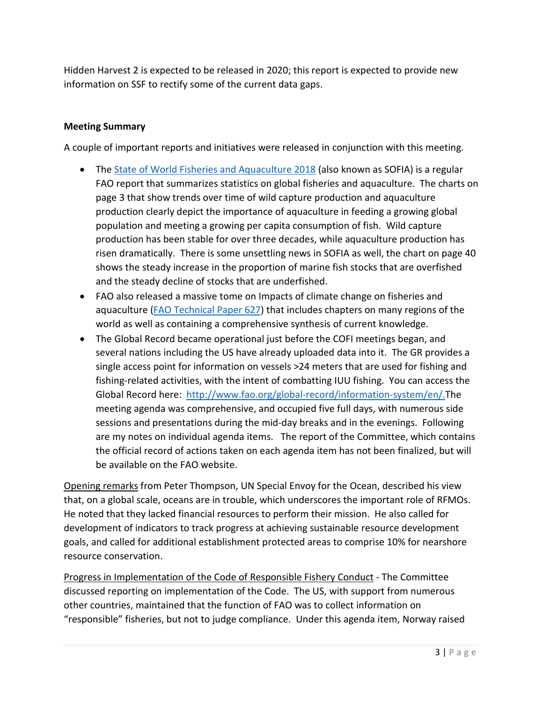Hidden Harvest 2 is expected to be released in 2020; this report is expected to provide new information on SSF to rectify some of the current data gaps.

# **Meeting Summary**

A couple of important reports and initiatives were released in conjunction with this meeting.

- The [State of World Fisheries and Aquaculture 2018](http://www.fao.org/3/i9540en/I9540EN.pdf) (also known as SOFIA) is a regular FAO report that summarizes statistics on global fisheries and aquaculture. The charts on page 3 that show trends over time of wild capture production and aquaculture production clearly depict the importance of aquaculture in feeding a growing global population and meeting a growing per capita consumption of fish. Wild capture production has been stable for over three decades, while aquaculture production has risen dramatically. There is some unsettling news in SOFIA as well, the chart on page 40 shows the steady increase in the proportion of marine fish stocks that are overfished and the steady decline of stocks that are underfished.
- FAO also released a massive tome on Impacts of climate change on fisheries and aquaculture [\(FAO Technical Paper 627\)](http://www.fao.org/documents/card/en/c/I9604EN) that includes chapters on many regions of the world as well as containing a comprehensive synthesis of current knowledge.
- The Global Record became operational just before the COFI meetings began, and several nations including the US have already uploaded data into it. The GR provides a single access point for information on vessels >24 meters that are used for fishing and fishing-related activities, with the intent of combatting IUU fishing. You can access the Global Record here: [http://www.fao.org/global-record/information-system/en/.T](http://www.fao.org/global-record/information-system/en/)he meeting agenda was comprehensive, and occupied five full days, with numerous side sessions and presentations during the mid-day breaks and in the evenings. Following are my notes on individual agenda items. The report of the Committee, which contains the official record of actions taken on each agenda item has not been finalized, but will be available on the FAO website.

Opening remarks from Peter Thompson, UN Special Envoy for the Ocean, described his view that, on a global scale, oceans are in trouble, which underscores the important role of RFMOs. He noted that they lacked financial resources to perform their mission. He also called for development of indicators to track progress at achieving sustainable resource development goals, and called for additional establishment protected areas to comprise 10% for nearshore resource conservation.

Progress in Implementation of the Code of Responsible Fishery Conduct - The Committee discussed reporting on implementation of the Code. The US, with support from numerous other countries, maintained that the function of FAO was to collect information on "responsible" fisheries, but not to judge compliance. Under this agenda item, Norway raised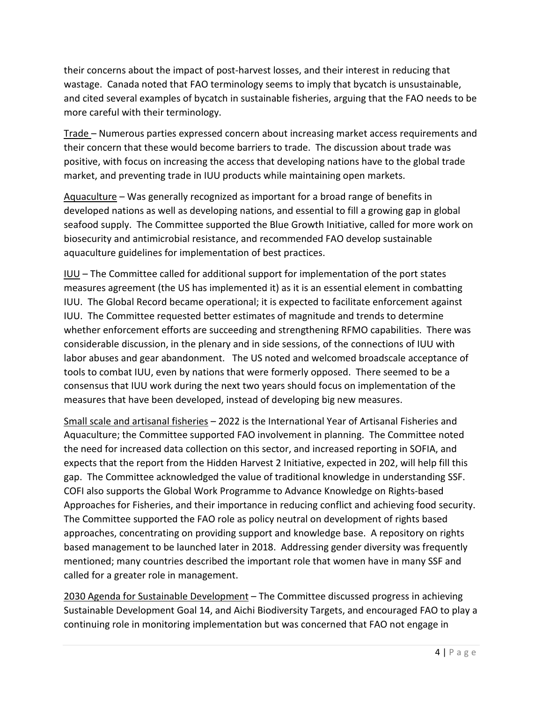their concerns about the impact of post-harvest losses, and their interest in reducing that wastage. Canada noted that FAO terminology seems to imply that bycatch is unsustainable, and cited several examples of bycatch in sustainable fisheries, arguing that the FAO needs to be more careful with their terminology.

Trade – Numerous parties expressed concern about increasing market access requirements and their concern that these would become barriers to trade. The discussion about trade was positive, with focus on increasing the access that developing nations have to the global trade market, and preventing trade in IUU products while maintaining open markets.

Aquaculture – Was generally recognized as important for a broad range of benefits in developed nations as well as developing nations, and essential to fill a growing gap in global seafood supply. The Committee supported the Blue Growth Initiative, called for more work on biosecurity and antimicrobial resistance, and recommended FAO develop sustainable aquaculture guidelines for implementation of best practices.

IUU – The Committee called for additional support for implementation of the port states measures agreement (the US has implemented it) as it is an essential element in combatting IUU. The Global Record became operational; it is expected to facilitate enforcement against IUU. The Committee requested better estimates of magnitude and trends to determine whether enforcement efforts are succeeding and strengthening RFMO capabilities. There was considerable discussion, in the plenary and in side sessions, of the connections of IUU with labor abuses and gear abandonment. The US noted and welcomed broadscale acceptance of tools to combat IUU, even by nations that were formerly opposed. There seemed to be a consensus that IUU work during the next two years should focus on implementation of the measures that have been developed, instead of developing big new measures.

Small scale and artisanal fisheries – 2022 is the International Year of Artisanal Fisheries and Aquaculture; the Committee supported FAO involvement in planning. The Committee noted the need for increased data collection on this sector, and increased reporting in SOFIA, and expects that the report from the Hidden Harvest 2 Initiative, expected in 202, will help fill this gap. The Committee acknowledged the value of traditional knowledge in understanding SSF. COFI also supports the Global Work Programme to Advance Knowledge on Rights-based Approaches for Fisheries, and their importance in reducing conflict and achieving food security. The Committee supported the FAO role as policy neutral on development of rights based approaches, concentrating on providing support and knowledge base. A repository on rights based management to be launched later in 2018. Addressing gender diversity was frequently mentioned; many countries described the important role that women have in many SSF and called for a greater role in management.

2030 Agenda for Sustainable Development – The Committee discussed progress in achieving Sustainable Development Goal 14, and Aichi Biodiversity Targets, and encouraged FAO to play a continuing role in monitoring implementation but was concerned that FAO not engage in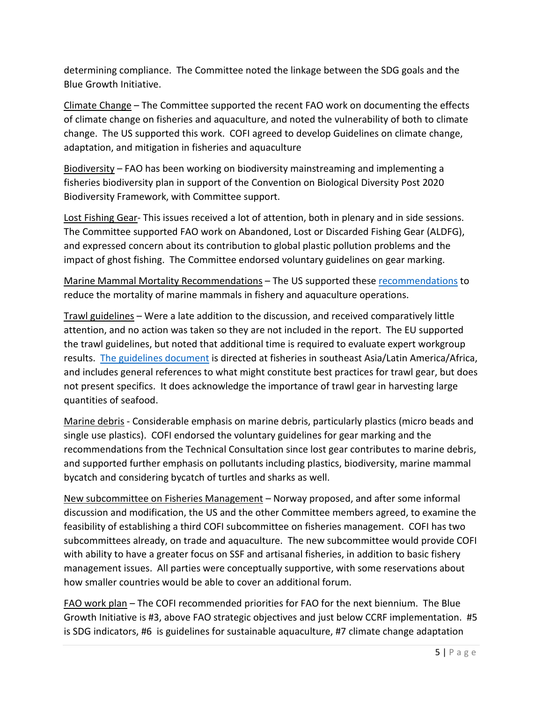determining compliance. The Committee noted the linkage between the SDG goals and the Blue Growth Initiative.

Climate Change – The Committee supported the recent FAO work on documenting the effects of climate change on fisheries and aquaculture, and noted the vulnerability of both to climate change. The US supported this work. COFI agreed to develop Guidelines on climate change, adaptation, and mitigation in fisheries and aquaculture

Biodiversity – FAO has been working on biodiversity mainstreaming and implementing a fisheries biodiversity plan in support of the Convention on Biological Diversity Post 2020 Biodiversity Framework, with Committee support.

Lost Fishing Gear- This issues received a lot of attention, both in plenary and in side sessions. The Committee supported FAO work on Abandoned, Lost or Discarded Fishing Gear (ALDFG), and expressed concern about its contribution to global plastic pollution problems and the impact of ghost fishing. The Committee endorsed voluntary guidelines on gear marking.

Marine Mammal Mortality Recommendations – The US supported these [recommendations](http://www.fao.org/3/I9993EN/i9993en.pdf) to reduce the mortality of marine mammals in fishery and aquaculture operations.

Trawl guidelines – Were a late addition to the discussion, and received comparatively little attention, and no action was taken so they are not included in the report. The EU supported the trawl guidelines, but noted that additional time is required to evaluate expert workgroup results. [The guidelines document](http://www.fao.org/3/MW891EN/mw891en.pdf) is directed at fisheries in southeast Asia/Latin America/Africa, and includes general references to what might constitute best practices for trawl gear, but does not present specifics. It does acknowledge the importance of trawl gear in harvesting large quantities of seafood.

Marine debris - Considerable emphasis on marine debris, particularly plastics (micro beads and single use plastics). COFI endorsed the voluntary guidelines for gear marking and the recommendations from the Technical Consultation since lost gear contributes to marine debris, and supported further emphasis on pollutants including plastics, biodiversity, marine mammal bycatch and considering bycatch of turtles and sharks as well.

New subcommittee on Fisheries Management – Norway proposed, and after some informal discussion and modification, the US and the other Committee members agreed, to examine the feasibility of establishing a third COFI subcommittee on fisheries management. COFI has two subcommittees already, on trade and aquaculture. The new subcommittee would provide COFI with ability to have a greater focus on SSF and artisanal fisheries, in addition to basic fishery management issues. All parties were conceptually supportive, with some reservations about how smaller countries would be able to cover an additional forum.

FAO work plan – The COFI recommended priorities for FAO for the next biennium. The Blue Growth Initiative is #3, above FAO strategic objectives and just below CCRF implementation. #5 is SDG indicators, #6 is guidelines for sustainable aquaculture, #7 climate change adaptation